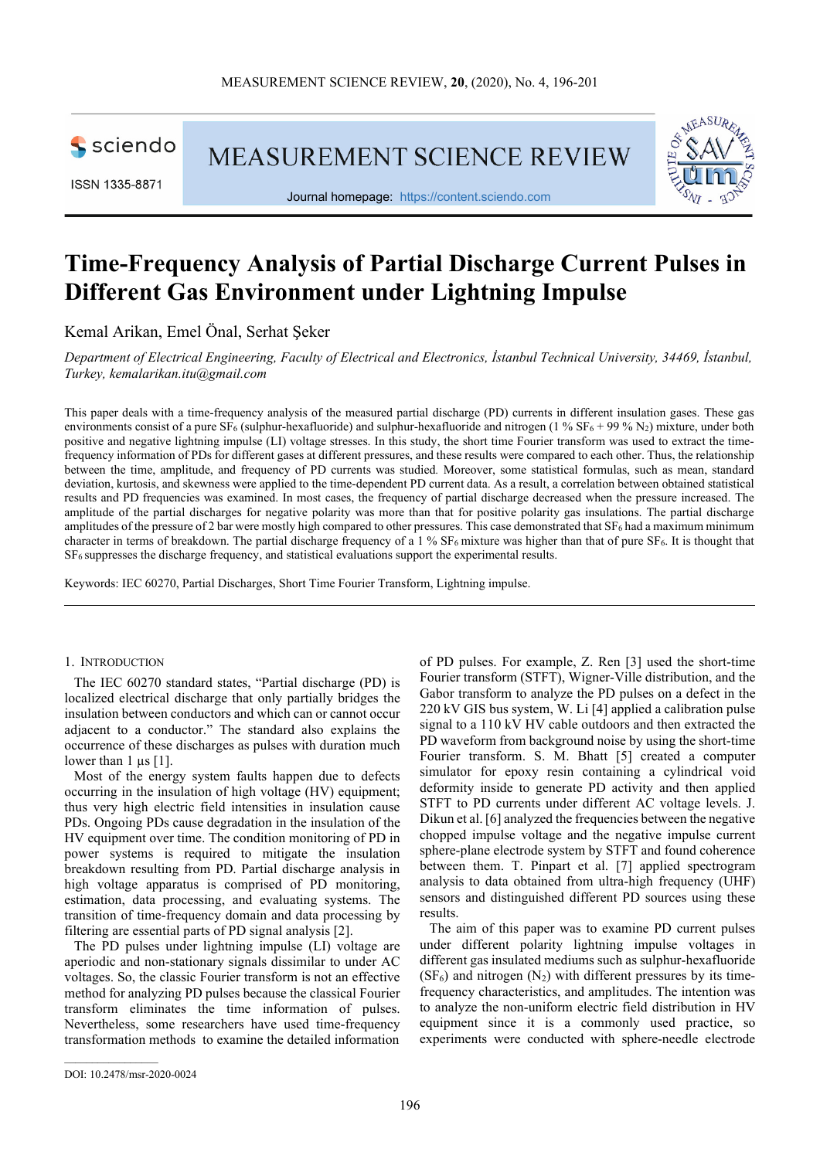sciendo

ISSN 1335-8871

MEASUREMENT SCIENCE REVIEW



Journal homepage: https://content.sciendo.com

# **Time-Frequency Analysis of Partial Discharge Current Pulses in Different Gas Environment under Lightning Impulse**

Kemal Arikan, Emel Önal, Serhat Şeker

*Department of Electrical Engineering, Faculty of Electrical and Electronics, İstanbul Technical University, 34469, İstanbul, Turkey, kemalarikan.itu@gmail.com* 

This paper deals with a time-frequency analysis of the measured partial discharge (PD) currents in different insulation gases. These gas environments consist of a pure  $SF_6$  (sulphur-hexafluoride) and sulphur-hexafluoride and nitrogen (1 %  $SF_6 + 99$  % N<sub>2</sub>) mixture, under both positive and negative lightning impulse (LI) voltage stresses. In this study, the short time Fourier transform was used to extract the timefrequency information of PDs for different gases at different pressures, and these results were compared to each other. Thus, the relationship between the time, amplitude, and frequency of PD currents was studied*.* Moreover, some statistical formulas, such as mean, standard deviation, kurtosis, and skewness were applied to the time-dependent PD current data. As a result, a correlation between obtained statistical results and PD frequencies was examined. In most cases, the frequency of partial discharge decreased when the pressure increased. The amplitude of the partial discharges for negative polarity was more than that for positive polarity gas insulations. The partial discharge amplitudes of the pressure of 2 bar were mostly high compared to other pressures. This case demonstrated that  $SF<sub>6</sub>$  had a maximum minimum character in terms of breakdown. The partial discharge frequency of a 1 % SF6 mixture was higher than that of pure SF6. It is thought that SF6 suppresses the discharge frequency, and statistical evaluations support the experimental results.

Keywords: IEC 60270, Partial Discharges, Short Time Fourier Transform, Lightning impulse.

# 1. INTRODUCTION

The IEC 60270 standard states, "Partial discharge (PD) is localized electrical discharge that only partially bridges the insulation between conductors and which can or cannot occur adjacent to a conductor." The standard also explains the occurrence of these discharges as pulses with duration much lower than  $1 \mu s$  [1].

Most of the energy system faults happen due to defects occurring in the insulation of high voltage (HV) equipment; thus very high electric field intensities in insulation cause PDs. Ongoing PDs cause degradation in the insulation of the HV equipment over time. The condition monitoring of PD in power systems is required to mitigate the insulation breakdown resulting from PD. Partial discharge analysis in high voltage apparatus is comprised of PD monitoring. estimation, data processing, and evaluating systems. The transition of time-frequency domain and data processing by filtering are essential parts of PD signal analysis [2].

The PD pulses under lightning impulse (LI) voltage are aperiodic and non-stationary signals dissimilar to under AC voltages. So, the classic Fourier transform is not an effective method for analyzing PD pulses because the classical Fourier transform eliminates the time information of pulses. Nevertheless, some researchers have used time-frequency transformation methods to examine the detailed information of PD pulses. For example, Z. Ren [3] used the short-time Fourier transform (STFT), Wigner-Ville distribution, and the Gabor transform to analyze the PD pulses on a defect in the 220 kV GIS bus system, W. Li [4] applied a calibration pulse signal to a 110 kV HV cable outdoors and then extracted the PD waveform from background noise by using the short-time Fourier transform. S. M. Bhatt [5] created a computer simulator for epoxy resin containing a cylindrical void deformity inside to generate PD activity and then applied STFT to PD currents under different AC voltage levels. J. Dikun et al. [6] analyzed the frequencies between the negative chopped impulse voltage and the negative impulse current sphere-plane electrode system by STFT and found coherence between them. T. Pinpart et al. [7] applied spectrogram analysis to data obtained from ultra-high frequency (UHF) sensors and distinguished different PD sources using these results.

The aim of this paper was to examine PD current pulses under different polarity lightning impulse voltages in different gas insulated mediums such as sulphur-hexafluoride  $(SF_6)$  and nitrogen  $(N_2)$  with different pressures by its timefrequency characteristics, and amplitudes. The intention was to analyze the non-uniform electric field distribution in HV equipment since it is a commonly used practice, so experiments were conducted with sphere-needle electrode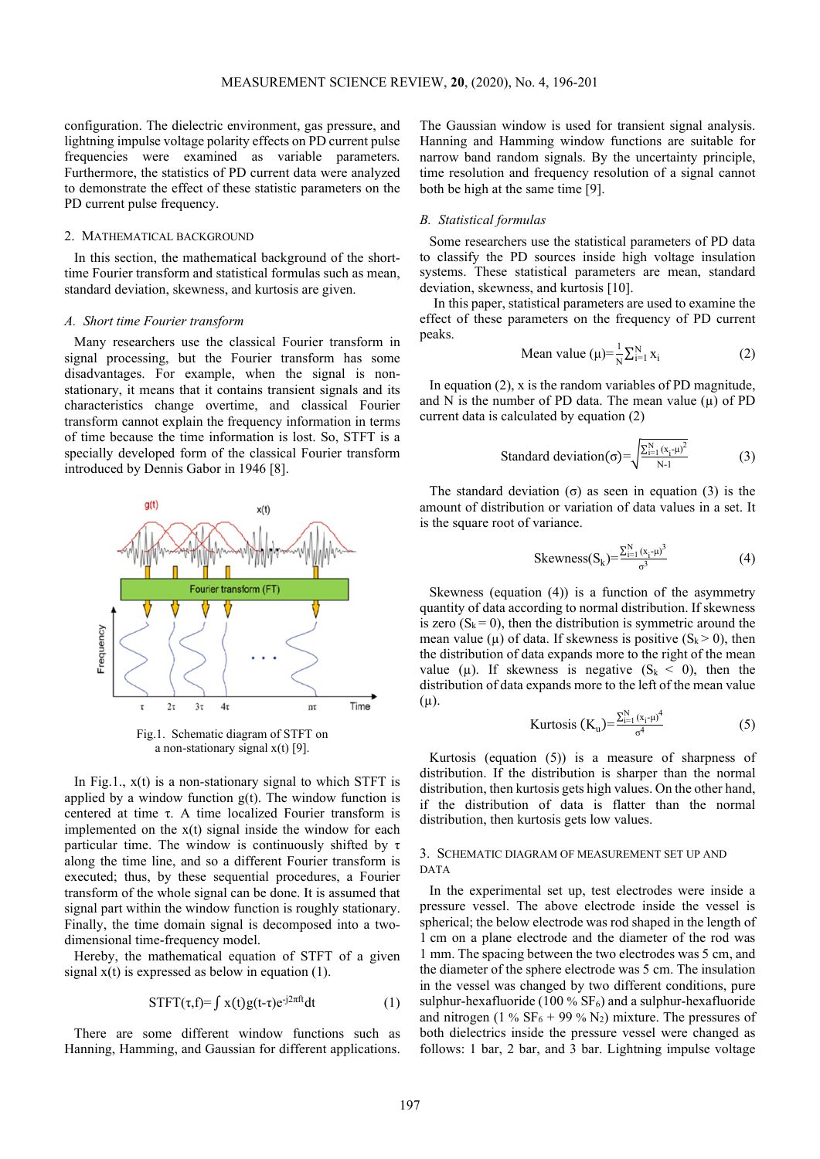configuration. The dielectric environment, gas pressure, and lightning impulse voltage polarity effects on PD current pulse frequencies were examined as variable parameters. Furthermore, the statistics of PD current data were analyzed to demonstrate the effect of these statistic parameters on the PD current pulse frequency.

## 2. MATHEMATICAL BACKGROUND

In this section, the mathematical background of the shorttime Fourier transform and statistical formulas such as mean, standard deviation, skewness, and kurtosis are given.

## *A. Short time Fourier transform*

Many researchers use the classical Fourier transform in signal processing, but the Fourier transform has some disadvantages. For example, when the signal is nonstationary, it means that it contains transient signals and its characteristics change overtime, and classical Fourier transform cannot explain the frequency information in terms of time because the time information is lost. So, STFT is a specially developed form of the classical Fourier transform introduced by Dennis Gabor in 1946 [8].



Fig.1. Schematic diagram of STFT on a non-stationary signal x(t) [9].

In Fig.1.,  $x(t)$  is a non-stationary signal to which STFT is applied by a window function  $g(t)$ . The window function is centered at time τ. A time localized Fourier transform is implemented on the  $x(t)$  signal inside the window for each particular time. The window is continuously shifted by  $\tau$ along the time line, and so a different Fourier transform is executed; thus, by these sequential procedures, a Fourier transform of the whole signal can be done. It is assumed that signal part within the window function is roughly stationary. Finally, the time domain signal is decomposed into a twodimensional time-frequency model.

Hereby, the mathematical equation of STFT of a given signal  $x(t)$  is expressed as below in equation (1).

$$
STFT(\tau, f) = \int x(t)g(t-\tau)e^{-j2\pi ft}dt
$$
 (1)

There are some different window functions such as Hanning, Hamming, and Gaussian for different applications.

The Gaussian window is used for transient signal analysis. Hanning and Hamming window functions are suitable for narrow band random signals. By the uncertainty principle, time resolution and frequency resolution of a signal cannot both be high at the same time [9].

## *B. Statistical formulas*

Some researchers use the statistical parameters of PD data to classify the PD sources inside high voltage insulation systems. These statistical parameters are mean, standard deviation, skewness, and kurtosis [10].

In this paper, statistical parameters are used to examine the effect of these parameters on the frequency of PD current peaks.

Mean value 
$$
(\mu) = \frac{1}{N} \sum_{i=1}^{N} x_i
$$
 (2)

In equation (2), x is the random variables of PD magnitude, and N is the number of PD data. The mean value  $(\mu)$  of PD current data is calculated by equation (2)

Standard deviation(
$$
\sigma
$$
)= $\sqrt{\frac{\sum_{i=1}^{N} (x_i - \mu)^2}{N-1}}$  (3)

The standard deviation  $(σ)$  as seen in equation  $(3)$  is the amount of distribution or variation of data values in a set. It is the square root of variance.

Skewness
$$
(S_k) = \frac{\sum_{i=1}^{N} (x_i - \mu)^3}{\sigma^3}
$$
 (4)

Skewness (equation (4)) is a function of the asymmetry quantity of data according to normal distribution. If skewness is zero  $(S_k = 0)$ , then the distribution is symmetric around the mean value ( $\mu$ ) of data. If skewness is positive ( $S_k > 0$ ), then the distribution of data expands more to the right of the mean value ( $\mu$ ). If skewness is negative ( $S_k < 0$ ), then the distribution of data expands more to the left of the mean value  $(\mu)$ .

Kurtosis 
$$
(K_u) = \frac{\sum_{i=1}^{N} (x_i - \mu)^4}{\sigma^4}
$$
 (5)

Kurtosis (equation (5)) is a measure of sharpness of distribution. If the distribution is sharper than the normal distribution, then kurtosis gets high values. On the other hand, if the distribution of data is flatter than the normal distribution, then kurtosis gets low values.

# 3. SCHEMATIC DIAGRAM OF MEASUREMENT SET UP AND DATA

In the experimental set up, test electrodes were inside a pressure vessel. The above electrode inside the vessel is spherical; the below electrode was rod shaped in the length of 1 cm on a plane electrode and the diameter of the rod was 1 mm. The spacing between the two electrodes was 5 cm, and the diameter of the sphere electrode was 5 cm. The insulation in the vessel was changed by two different conditions, pure sulphur-hexafluoride (100 %  $SF_6$ ) and a sulphur-hexafluoride and nitrogen (1 %  $SF_6 + 99$  % N<sub>2</sub>) mixture. The pressures of both dielectrics inside the pressure vessel were changed as follows: 1 bar, 2 bar, and 3 bar. Lightning impulse voltage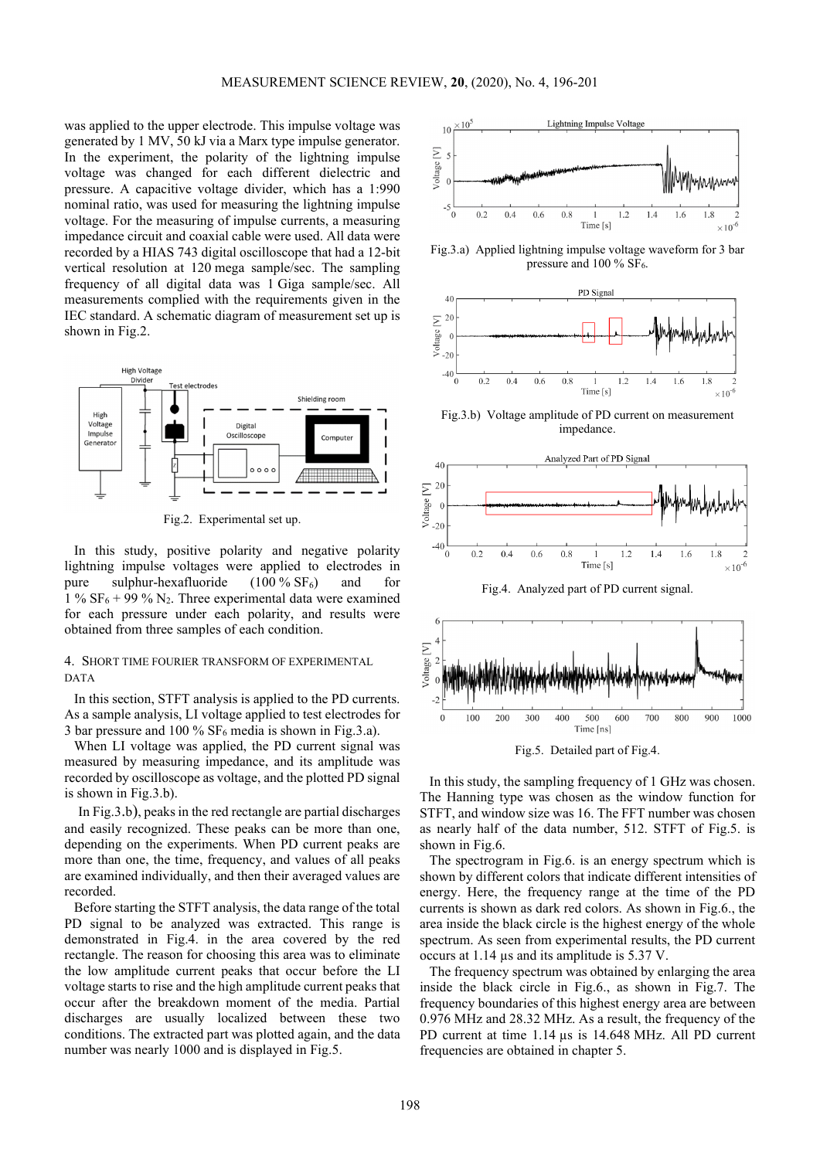was applied to the upper electrode. This impulse voltage was generated by 1 MV, 50 kJ via a Marx type impulse generator. In the experiment, the polarity of the lightning impulse voltage was changed for each different dielectric and pressure. A capacitive voltage divider, which has a 1:990 nominal ratio, was used for measuring the lightning impulse voltage. For the measuring of impulse currents, a measuring impedance circuit and coaxial cable were used. All data were recorded by a HIAS 743 digital oscilloscope that had a 12-bit vertical resolution at 120 mega sample/sec. The sampling frequency of all digital data was 1 Giga sample/sec. All measurements complied with the requirements given in the IEC standard. A schematic diagram of measurement set up is shown in Fig.2.



Fig.2. Experimental set up.

In this study, positive polarity and negative polarity lightning impulse voltages were applied to electrodes in pure sulphur-hexafluoride  $(100\% SF_6)$  and for 1 %  $SF_6 + 99$  % N<sub>2</sub>. Three experimental data were examined for each pressure under each polarity, and results were obtained from three samples of each condition.

# 4. SHORT TIME FOURIER TRANSFORM OF EXPERIMENTAL DATA

In this section, STFT analysis is applied to the PD currents. As a sample analysis, LI voltage applied to test electrodes for 3 bar pressure and 100 %  $SF_6$  media is shown in Fig.3.a).

When LI voltage was applied, the PD current signal was measured by measuring impedance, and its amplitude was recorded by oscilloscope as voltage, and the plotted PD signal is shown in Fig.3.b).

In Fig.3.b), peaks in the red rectangle are partial discharges and easily recognized. These peaks can be more than one, depending on the experiments. When PD current peaks are more than one, the time, frequency, and values of all peaks are examined individually, and then their averaged values are recorded.

Before starting the STFT analysis, the data range of the total PD signal to be analyzed was extracted. This range is demonstrated in Fig.4. in the area covered by the red rectangle. The reason for choosing this area was to eliminate the low amplitude current peaks that occur before the LI voltage starts to rise and the high amplitude current peaks that occur after the breakdown moment of the media. Partial discharges are usually localized between these two conditions. The extracted part was plotted again, and the data number was nearly 1000 and is displayed in Fig.5.



Fig.3.a) Applied lightning impulse voltage waveform for 3 bar pressure and 100 % SF<sub>6</sub>.



Fig.3.b) Voltage amplitude of PD current on measurement impedance.





Fig.5. Detailed part of Fig.4.

In this study, the sampling frequency of 1 GHz was chosen. The Hanning type was chosen as the window function for STFT, and window size was 16. The FFT number was chosen as nearly half of the data number, 512. STFT of Fig.5. is shown in Fig.6.

The spectrogram in Fig.6. is an energy spectrum which is shown by different colors that indicate different intensities of energy. Here, the frequency range at the time of the PD currents is shown as dark red colors. As shown in Fig.6., the area inside the black circle is the highest energy of the whole spectrum. As seen from experimental results, the PD current occurs at 1.14 µs and its amplitude is 5.37 V.

The frequency spectrum was obtained by enlarging the area inside the black circle in Fig.6., as shown in Fig.7. The frequency boundaries of this highest energy area are between 0.976 MHz and 28.32 MHz. As a result, the frequency of the PD current at time 1.14 µs is 14.648 MHz. All PD current frequencies are obtained in chapter 5.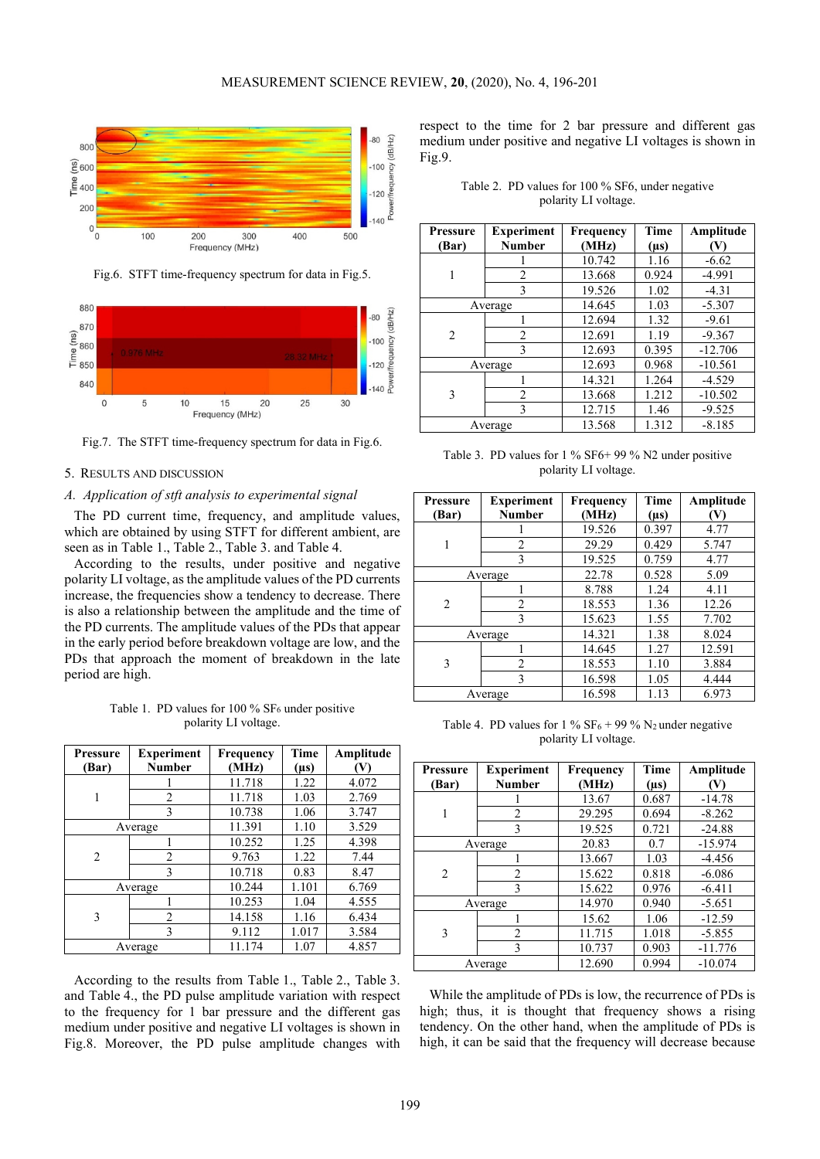

Fig.6. STFT time-frequency spectrum for data in Fig.5.



Fig.7. The STFT time-frequency spectrum for data in Fig.6.

# 5. RESULTS AND DISCUSSION

# *A. Application of stft analysis to experimental signal*

The PD current time, frequency, and amplitude values, which are obtained by using STFT for different ambient, are seen as in Table 1., Table 2., Table 3. and Table 4.

According to the results, under positive and negative polarity LI voltage, as the amplitude values of the PD currents increase, the frequencies show a tendency to decrease. There is also a relationship between the amplitude and the time of the PD currents. The amplitude values of the PDs that appear in the early period before breakdown voltage are low, and the PDs that approach the moment of breakdown in the late period are high.

Table 1. PD values for  $100\%$  SF<sub>6</sub> under positive polarity LI voltage.

| <b>Pressure</b><br>(Bar) | <b>Experiment</b><br><b>Number</b> | Frequency<br>(MHz) | Time<br>$(\mu s)$ | Amplitude |
|--------------------------|------------------------------------|--------------------|-------------------|-----------|
|                          |                                    | 11.718             | 1.22              | 4.072     |
|                          | 2                                  | 11.718             | 1.03              | 2.769     |
|                          | 3                                  | 10.738             | 1.06              | 3.747     |
|                          | Average                            | 11.391             | 1.10              | 3.529     |
| $\overline{c}$           |                                    | 10.252             | 1.25              | 4.398     |
|                          | 2                                  | 9.763              | 1.22              | 7.44      |
|                          | 3                                  | 10.718             | 0.83              | 8.47      |
| Average                  |                                    | 10.244             | 1.101             | 6.769     |
| 3                        |                                    | 10.253             | 1.04              | 4.555     |
|                          | 2                                  | 14.158             | 1.16              | 6.434     |
|                          | 3                                  | 9.112              | 1.017             | 3.584     |
| Average                  |                                    | 11.174             | 1.07              | 4.857     |

According to the results from Table 1., Table 2., Table 3. and Table 4., the PD pulse amplitude variation with respect to the frequency for 1 bar pressure and the different gas medium under positive and negative LI voltages is shown in Fig.8. Moreover, the PD pulse amplitude changes with respect to the time for 2 bar pressure and different gas medium under positive and negative LI voltages is shown in Fig.9.

Table 2. PD values for 100 % SF6, under negative polarity LI voltage.

| <b>Pressure</b> | <b>Experiment</b> | Frequency | <b>Time</b> | Amplitude |
|-----------------|-------------------|-----------|-------------|-----------|
| (Bar)           | <b>Number</b>     | (MHz)     | $(\mu s)$   |           |
|                 |                   | 10.742    | 1.16        | $-6.62$   |
|                 | $\overline{2}$    | 13.668    | 0.924       | $-4.991$  |
|                 | 3                 | 19.526    | 1.02        | $-4.31$   |
|                 | Average           | 14.645    | 1.03        | $-5.307$  |
| 2               |                   | 12.694    | 1.32        | $-9.61$   |
|                 | $\overline{2}$    | 12.691    | 1.19        | $-9.367$  |
|                 | 3                 | 12.693    | 0.395       | $-12.706$ |
| Average         |                   | 12.693    | 0.968       | $-10.561$ |
| 3               |                   | 14.321    | 1.264       | $-4.529$  |
|                 | $\overline{2}$    | 13.668    | 1.212       | $-10.502$ |
|                 | 3                 | 12.715    | 1.46        | $-9.525$  |
| Average         |                   | 13.568    | 1.312       | $-8.185$  |

Table 3. PD values for 1 % SF6+ 99 % N2 under positive polarity LI voltage.

| <b>Pressure</b><br>(Bar) | <b>Experiment</b><br>Number | Frequency<br>(MHz) | <b>Time</b><br>$(\mu s)$ | Amplitude |
|--------------------------|-----------------------------|--------------------|--------------------------|-----------|
|                          |                             | 19.526             | 0.397                    | 4.77      |
|                          | 2                           | 29.29              | 0.429                    | 5.747     |
|                          | 3                           | 19.525             | 0.759                    | 4.77      |
| Average                  |                             | 22.78              | 0.528                    | 5.09      |
| 2                        |                             | 8.788              | 1.24                     | 4.11      |
|                          | $\mathfrak{D}$              | 18.553             | 1.36                     | 12.26     |
|                          | 3                           | 15.623             | 1.55                     | 7.702     |
| Average                  |                             | 14.321             | 1.38                     | 8.024     |
| 3                        |                             | 14.645             | 1.27                     | 12.591    |
|                          | 2                           | 18.553             | 1.10                     | 3.884     |
|                          | 3                           | 16.598             | 1.05                     | 4.444     |
| Average                  |                             | 16.598             | 1.13                     | 6.973     |

Table 4. PD values for 1 %  $SF_6 + 99$  % N<sub>2</sub> under negative polarity LI voltage.

| <b>Pressure</b><br>(Bar) | <b>Experiment</b><br><b>Number</b> | Frequency<br>(MHz) | <b>Time</b><br>$(\mu s)$ | Amplitude |
|--------------------------|------------------------------------|--------------------|--------------------------|-----------|
|                          |                                    | 13.67              | 0.687                    | $-14.78$  |
|                          | 2                                  | 29.295             | 0.694                    | $-8.262$  |
|                          | 3                                  | 19.525             | 0.721                    | $-24.88$  |
|                          | Average                            |                    | 0.7                      | $-15.974$ |
|                          |                                    | 13.667             | 1.03                     | $-4.456$  |
| $\mathfrak{D}$           | $\mathfrak{D}$                     | 15.622             | 0.818                    | $-6.086$  |
|                          | 3                                  | 15.622             | 0.976                    | $-6.411$  |
|                          | Average                            |                    | 0.940                    | $-5.651$  |
| 3                        |                                    | 15.62              | 1.06                     | $-12.59$  |
|                          | $\mathfrak{D}$                     | 11.715             | 1.018                    | $-5.855$  |
|                          | $\mathbf{3}$                       | 10.737             | 0.903                    | $-11.776$ |
| Average                  |                                    | 12.690             | 0.994                    | $-10.074$ |

While the amplitude of PDs is low, the recurrence of PDs is high; thus, it is thought that frequency shows a rising tendency. On the other hand, when the amplitude of PDs is high, it can be said that the frequency will decrease because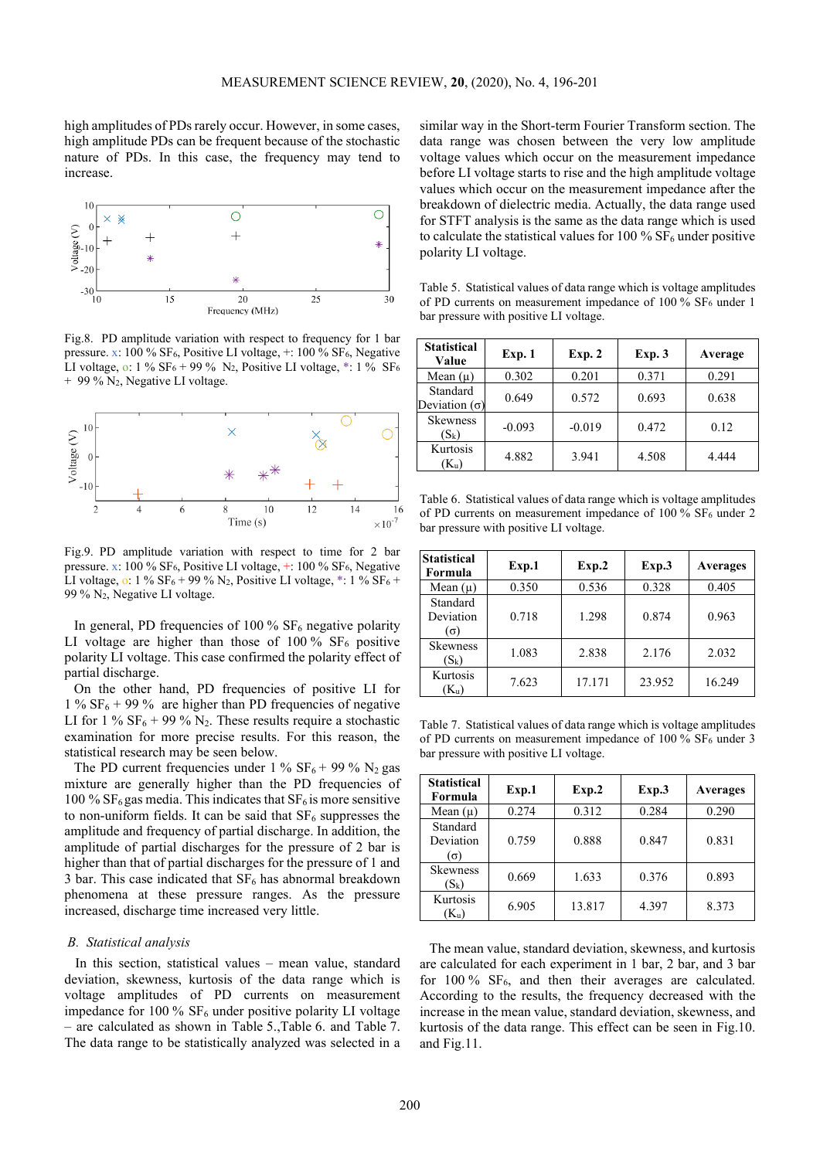high amplitudes of PDs rarely occur. However, in some cases, high amplitude PDs can be frequent because of the stochastic nature of PDs. In this case, the frequency may tend to increase.



Fig.8. PD amplitude variation with respect to frequency for 1 bar pressure. x: 100 %  $SF_6$ , Positive LI voltage,  $\pm$ : 100 %  $SF_6$ , Negative LI voltage, o: 1 %  $SF_6 + 99$  % N<sub>2</sub>, Positive LI voltage, \*: 1 %  $SF_6$ + 99 % N2, Negative LI voltage.



Fig.9. PD amplitude variation with respect to time for 2 bar pressure. x: 100 %  $SF_6$ , Positive LI voltage, +: 100 %  $SF_6$ , Negative LI voltage, o: 1 %  $SF_6 + 99$  % N<sub>2</sub>, Positive LI voltage, \*: 1 %  $SF_6 +$ 99 % N2, Negative LI voltage.

In general, PD frequencies of 100  $\%$  SF<sub>6</sub> negative polarity LI voltage are higher than those of  $100\%$  SF<sub>6</sub> positive polarity LI voltage. This case confirmed the polarity effect of partial discharge.

On the other hand, PD frequencies of positive LI for 1 %  $SF_6 + 99$  % are higher than PD frequencies of negative LI for 1 %  $SF_6 + 99$  % N<sub>2</sub>. These results require a stochastic examination for more precise results. For this reason, the statistical research may be seen below.

The PD current frequencies under 1 %  $SF_6 + 99$  % N<sub>2</sub> gas mixture are generally higher than the PD frequencies of 100 %  $SF<sub>6</sub>$  gas media. This indicates that  $SF<sub>6</sub>$  is more sensitive to non-uniform fields. It can be said that  $SF<sub>6</sub>$  suppresses the amplitude and frequency of partial discharge. In addition, the amplitude of partial discharges for the pressure of 2 bar is higher than that of partial discharges for the pressure of 1 and 3 bar. This case indicated that  $SF<sub>6</sub>$  has abnormal breakdown phenomena at these pressure ranges. As the pressure increased, discharge time increased very little.

## *B. Statistical analysis*

In this section, statistical values – mean value, standard deviation, skewness, kurtosis of the data range which is voltage amplitudes of PD currents on measurement impedance for 100 %  $SF_6$  under positive polarity LI voltage – are calculated as shown in Table 5.,Table 6. and Table 7. The data range to be statistically analyzed was selected in a similar way in the Short-term Fourier Transform section. The data range was chosen between the very low amplitude voltage values which occur on the measurement impedance before LI voltage starts to rise and the high amplitude voltage values which occur on the measurement impedance after the breakdown of dielectric media. Actually, the data range used for STFT analysis is the same as the data range which is used to calculate the statistical values for 100 %  $SF_6$  under positive polarity LI voltage.

Table 5. Statistical values of data range which is voltage amplitudes of PD currents on measurement impedance of 100 % SF6 under 1 bar pressure with positive LI voltage.

| <b>Statistical</b><br>Value      | Exp.1    | Exp. 2   | Exp.3 | Average |
|----------------------------------|----------|----------|-------|---------|
| Mean $(\mu)$                     | 0.302    | 0.201    | 0.371 | 0.291   |
| Standard<br>Deviation $(\sigma)$ | 0.649    | 0.572    | 0.693 | 0.638   |
| <b>Skewness</b><br>$(S_k)$       | $-0.093$ | $-0.019$ | 0.472 | 0.12    |
| Kurtosis<br>$(K_u)$              | 4.882    | 3.941    | 4.508 | 4.444   |

Table 6.Statistical values of data range which is voltage amplitudes of PD currents on measurement impedance of 100 % SF6 under 2 bar pressure with positive LI voltage.

| <b>Statistical</b><br>Formula       | Exp.1 | Exp.2  | Exp.3  | Averages |
|-------------------------------------|-------|--------|--------|----------|
| Mean $(\mu)$                        | 0.350 | 0.536  | 0.328  | 0.405    |
| Standard<br>Deviation<br>$(\sigma)$ | 0.718 | 1.298  | 0.874  | 0.963    |
| <b>Skewness</b><br>$(S_k)$          | 1.083 | 2.838  | 2.176  | 2.032    |
| Kurtosis<br>$(K_u)$                 | 7.623 | 17.171 | 23.952 | 16.249   |

Table 7.Statistical values of data range which is voltage amplitudes of PD currents on measurement impedance of  $100\%$  SF<sub>6</sub> under 3 bar pressure with positive LI voltage.

| <b>Statistical</b><br>Formula       | Exp.1 | Exp.2  | Exp.3 | <b>Averages</b> |
|-------------------------------------|-------|--------|-------|-----------------|
| Mean $(\mu)$                        | 0.274 | 0.312  | 0.284 | 0.290           |
| Standard<br>Deviation<br>$(\sigma)$ | 0.759 | 0.888  | 0.847 | 0.831           |
| <b>Skewness</b><br>$(S_k)$          | 0.669 | 1.633  | 0.376 | 0.893           |
| Kurtosis<br>$(K_u)$                 | 6.905 | 13.817 | 4.397 | 8.373           |

The mean value, standard deviation, skewness, and kurtosis are calculated for each experiment in 1 bar, 2 bar, and 3 bar for  $100\%$  SF<sub>6</sub>, and then their averages are calculated. According to the results, the frequency decreased with the increase in the mean value, standard deviation, skewness, and kurtosis of the data range. This effect can be seen in Fig.10. and Fig.11.